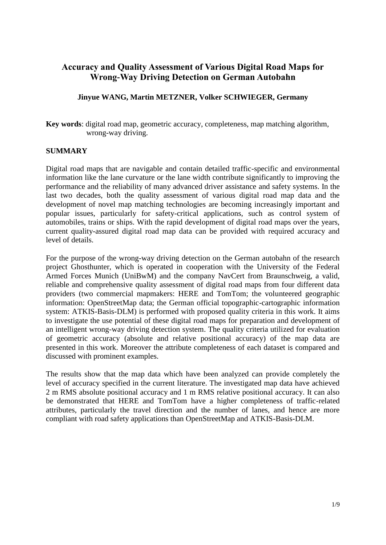# **Accuracy and Quality Assessment of Various Digital Road Maps for Wrong-Way Driving Detection on German Autobahn**

#### **Jinyue WANG, Martin METZNER, Volker SCHWIEGER, Germany**

**Key words**: digital road map, geometric accuracy, completeness, map matching algorithm, wrong-way driving.

#### **SUMMARY**

Digital road maps that are navigable and contain detailed traffic-specific and environmental information like the lane curvature or the lane width contribute significantly to improving the performance and the reliability of many advanced driver assistance and safety systems. In the last two decades, both the quality assessment of various digital road map data and the development of novel map matching technologies are becoming increasingly important and popular issues, particularly for safety-critical applications, such as control system of automobiles, trains or ships. With the rapid development of digital road maps over the years, current quality-assured digital road map data can be provided with required accuracy and level of details.

For the purpose of the wrong-way driving detection on the German autobahn of the research project Ghosthunter, which is operated in cooperation with the University of the Federal Armed Forces Munich (UniBwM) and the company NavCert from Braunschweig, a valid, reliable and comprehensive quality assessment of digital road maps from four different data providers (two commercial mapmakers: HERE and TomTom; the volunteered geographic information: OpenStreetMap data; the German official topographic-cartographic information system: ATKIS-Basis-DLM) is performed with proposed quality criteria in this work. It aims to investigate the use potential of these digital road maps for preparation and development of an intelligent wrong-way driving detection system. The quality criteria utilized for evaluation of geometric accuracy (absolute and relative positional accuracy) of the map data are presented in this work. Moreover the attribute completeness of each dataset is compared and discussed with prominent examples.

The results show that the map data which have been analyzed can provide completely the level of accuracy specified in the current literature. The investigated map data have achieved 2 m RMS absolute positional accuracy and 1 m RMS relative positional accuracy. It can also be demonstrated that HERE and TomTom have a higher completeness of traffic-related attributes, particularly the travel direction and the number of lanes, and hence are more compliant with road safety applications than OpenStreetMap and ATKIS-Basis-DLM.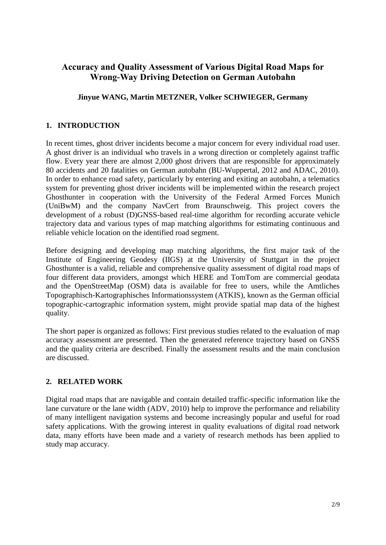# **Accuracy and Quality Assessment of Various Digital Road Maps for Wrong-Way Driving Detection on German Autobahn**

## **Jinyue WANG, Martin METZNER, Volker SCHWIEGER, Germany**

# **1. INTRODUCTION**

In recent times, ghost driver incidents become a major concern for every individual road user. A ghost driver is an individual who travels in a wrong direction or completely against traffic flow. Every year there are almost 2,000 ghost drivers that are responsible for approximately 80 accidents and 20 fatalities on German autobahn (BU-Wuppertal, 2012 and ADAC, 2010). In order to enhance road safety, particularly by entering and exiting an autobahn, a telematics system for preventing ghost driver incidents will be implemented within the research project Ghosthunter in cooperation with the University of the Federal Armed Forces Munich (UniBwM) and the company NavCert from Braunschweig. This project covers the development of a robust (D)GNSS-based real-time algorithm for recording accurate vehicle trajectory data and various types of map matching algorithms for estimating continuous and reliable vehicle location on the identified road segment.

Before designing and developing map matching algorithms, the first major task of the Institute of Engineering Geodesy (IIGS) at the University of Stuttgart in the project Ghosthunter is a valid, reliable and comprehensive quality assessment of digital road maps of four different data providers, amongst which HERE and TomTom are commercial geodata and the OpenStreetMap (OSM) data is available for free to users, while the Amtliches Topographisch-Kartographisches Informationssystem (ATKIS), known as the German official topographic-cartographic information system, might provide spatial map data of the highest quality.

The short paper is organized as follows: First previous studies related to the evaluation of map accuracy assessment are presented. Then the generated reference trajectory based on GNSS and the quality criteria are described. Finally the assessment results and the main conclusion are discussed.

### **2. RELATED WORK**

Digital road maps that are navigable and contain detailed traffic-specific information like the lane curvature or the lane width (ADV, 2010) help to improve the performance and reliability of many intelligent navigation systems and become increasingly popular and useful for road safety applications. With the growing interest in quality evaluations of digital road network data, many efforts have been made and a variety of research methods has been applied to study map accuracy.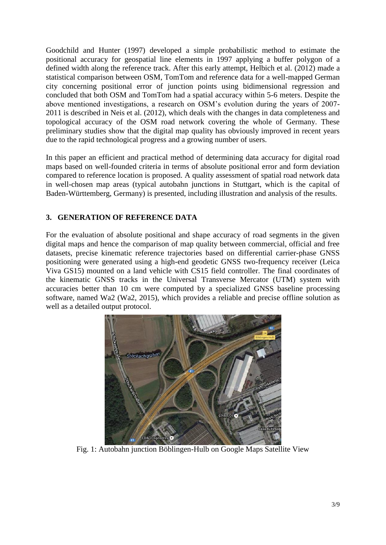Goodchild and Hunter (1997) developed a simple probabilistic method to estimate the positional accuracy for geospatial line elements in 1997 applying a buffer polygon of a defined width along the reference track. After this early attempt, Helbich et al. (2012) made a statistical comparison between OSM, TomTom and reference data for a well-mapped German city concerning positional error of junction points using bidimensional regression and concluded that both OSM and TomTom had a spatial accuracy within 5-6 meters. Despite the above mentioned investigations, a research on OSM's evolution during the years of 2007- 2011 is described in Neis et al. (2012), which deals with the changes in data completeness and topological accuracy of the OSM road network covering the whole of Germany. These preliminary studies show that the digital map quality has obviously improved in recent years due to the rapid technological progress and a growing number of users.

In this paper an efficient and practical method of determining data accuracy for digital road maps based on well-founded criteria in terms of absolute positional error and form deviation compared to reference location is proposed. A quality assessment of spatial road network data in well-chosen map areas (typical autobahn junctions in Stuttgart, which is the capital of Baden-Württemberg, Germany) is presented, including illustration and analysis of the results.

# **3. GENERATION OF REFERENCE DATA**

For the evaluation of absolute positional and shape accuracy of road segments in the given digital maps and hence the comparison of map quality between commercial, official and free datasets, precise kinematic reference trajectories based on differential carrier-phase GNSS positioning were generated using a high-end geodetic GNSS two-frequency receiver (Leica Viva GS15) mounted on a land vehicle with CS15 field controller. The final coordinates of the kinematic GNSS tracks in the Universal Transverse Mercator (UTM) system with accuracies better than 10 cm were computed by a specialized GNSS baseline processing software, named Wa2 (Wa2, 2015), which provides a reliable and precise offline solution as well as a detailed output protocol.



Fig. 1: Autobahn junction Böblingen-Hulb on Google Maps Satellite View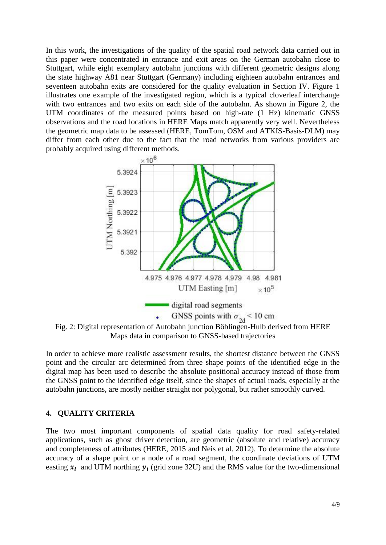In this work, the investigations of the quality of the spatial road network data carried out in this paper were concentrated in entrance and exit areas on the German autobahn close to Stuttgart, while eight exemplary autobahn junctions with different geometric designs along the state highway A81 near Stuttgart (Germany) including eighteen autobahn entrances and seventeen autobahn exits are considered for the quality evaluation in Section IV. Figure 1 illustrates one example of the investigated region, which is a typical cloverleaf interchange with two entrances and two exits on each side of the autobahn. As shown in Figure 2, the UTM coordinates of the measured points based on high-rate (1 Hz) kinematic GNSS observations and the road locations in HERE Maps match apparently very well. Nevertheless the geometric map data to be assessed (HERE, TomTom, OSM and ATKIS-Basis-DLM) may differ from each other due to the fact that the road networks from various providers are probably acquired using different methods.



Fig. 2: Digital representation of Autobahn junction Böblingen-Hulb derived from HERE Maps data in comparison to GNSS-based trajectories

In order to achieve more realistic assessment results, the shortest distance between the GNSS point and the circular arc determined from three shape points of the identified edge in the digital map has been used to describe the absolute positional accuracy instead of those from the GNSS point to the identified edge itself, since the shapes of actual roads, especially at the autobahn junctions, are mostly neither straight nor polygonal, but rather smoothly curved.

#### **4. QUALITY CRITERIA**

The two most important components of spatial data quality for road safety-related applications, such as ghost driver detection, are geometric (absolute and relative) accuracy and completeness of attributes (HERE, 2015 and Neis et al. 2012). To determine the absolute accuracy of a shape point or a node of a road segment, the coordinate deviations of UTM easting  $x_i$  and UTM northing  $y_i$  (grid zone 32U) and the RMS value for the two-dimensional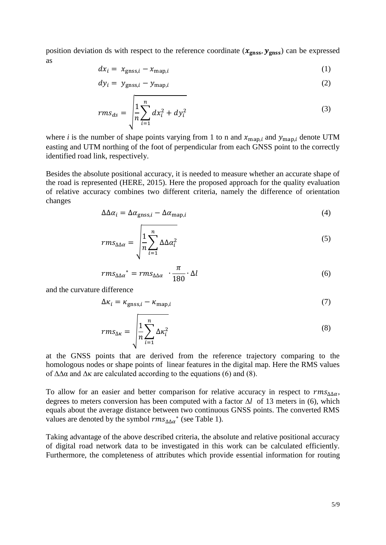position deviation ds with respect to the reference coordinate  $(x_{\text{gnss}}, y_{\text{gnss}})$  can be expressed as

$$
dx_i = x_{\text{gnss},i} - x_{\text{map},i} \tag{1}
$$

$$
dy_i = y_{\text{gnss},i} - y_{\text{map},i} \tag{2}
$$

$$
rms_{ds} = \sqrt{\frac{1}{n} \sum_{i=1}^{n} dx_i^2 + dy_i^2}
$$
 (3)

where *i* is the number of shape points varying from 1 to n and  $x_{\text{map}, i}$  and  $y_{\text{map}, i}$  denote UTM easting and UTM northing of the foot of perpendicular from each GNSS point to the correctly identified road link, respectively.

Besides the absolute positional accuracy, it is needed to measure whether an accurate shape of the road is represented (HERE, 2015). Here the proposed approach for the quality evaluation of relative accuracy combines two different criteria, namely the difference of orientation changes

$$
\Delta \Delta \alpha_i = \Delta \alpha_{\text{gnss},i} - \Delta \alpha_{\text{map},i} \tag{4}
$$

$$
rms_{\Delta\Delta\alpha} = \sqrt{\frac{1}{n} \sum_{i=1}^{n} \Delta\Delta\alpha_i^2}
$$
 (5)

$$
rms_{\Delta\Delta\alpha}^* = rms_{\Delta\Delta\alpha} \cdot \frac{\pi}{180} \cdot \Delta l \tag{6}
$$

and the curvature difference

$$
\Delta \kappa_i = \kappa_{\text{gnss},i} - \kappa_{\text{map},i} \tag{7}
$$

$$
rms_{\Delta\kappa} = \sqrt{\frac{1}{n} \sum_{i=1}^{n} \Delta\kappa_i^2}
$$
 (8)

at the GNSS points that are derived from the reference trajectory comparing to the homologous nodes or shape points of linear features in the digital map. Here the RMS values of  $ΔΔα$  and  $Δκ$  are calculated according to the equations (6) and (8).

To allow for an easier and better comparison for relative accuracy in respect to  $rms_{\Delta\Delta\alpha}$ , degrees to meters conversion has been computed with a factor  $\Delta l$  of 13 meters in (6), which equals about the average distance between two continuous GNSS points. The converted RMS values are denoted by the symbol  $rms_{\Delta\Delta\alpha}$ <sup>\*</sup> (see Table 1).

Taking advantage of the above described criteria, the absolute and relative positional accuracy of digital road network data to be investigated in this work can be calculated efficiently. Furthermore, the completeness of attributes which provide essential information for routing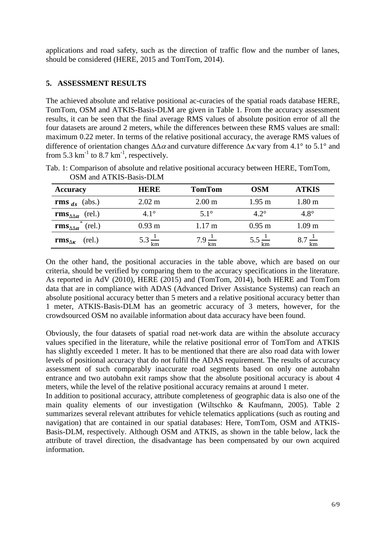applications and road safety, such as the direction of traffic flow and the number of lanes, should be considered (HERE, 2015 and TomTom, 2014).

## **5. ASSESSMENT RESULTS**

The achieved absolute and relative positional ac-curacies of the spatial roads database HERE, TomTom, OSM and ATKIS-Basis-DLM are given in Table 1. From the accuracy assessment results, it can be seen that the final average RMS values of absolute position error of all the four datasets are around 2 meters, while the differences between these RMS values are small: maximum 0.22 meter. In terms of the relative positional accuracy, the average RMS values of difference of orientation changes  $\Delta\Delta\alpha$  and curvature difference  $\Delta\kappa$  vary from 4.1° to 5.1° and from 5.3  $\text{km}^{-1}$  to 8.7  $\text{km}^{-1}$ , respectively.

| <b>Accuracy</b>                            | HERE                      | <b>TomTom</b>             | <b>OSM</b>                | <b>ATKIS</b>      |
|--------------------------------------------|---------------------------|---------------------------|---------------------------|-------------------|
| <b>rms</b> $_{ds}$ (abs.)                  | $2.02 \text{ m}$          | 2.00 <sub>m</sub>         | $1.95 \text{ m}$          | 1.80 <sub>m</sub> |
| $\mathbf{rms}_{\Delta\Delta\alpha}$ (rel.) | $4.1^\circ$               | $5.1^\circ$               | $4.2^\circ$               | $4.8^\circ$       |
| rms $_{\Delta\Delta\alpha}^*$<br>(rel.)    | $0.93 \text{ m}$          | $1.17 \text{ m}$          | $0.95$ m                  | 1.09 <sub>m</sub> |
| (rel.)<br>rms $_{\Delta K}$                | $5.3 \frac{1}{\text{km}}$ | $7.9 \frac{1}{\text{km}}$ | $5.5 \frac{1}{\text{km}}$ | km                |

Tab. 1: Comparison of absolute and relative positional accuracy between HERE, TomTom, OSM and ATKIS-Basis-DLM

On the other hand, the positional accuracies in the table above, which are based on our criteria, should be verified by comparing them to the accuracy specifications in the literature. As reported in AdV (2010), HERE (2015) and (TomTom, 2014), both HERE and TomTom data that are in compliance with ADAS (Advanced Driver Assistance Systems) can reach an absolute positional accuracy better than 5 meters and a relative positional accuracy better than 1 meter, ATKIS-Basis-DLM has an geometric accuracy of 3 meters, however, for the crowdsourced OSM no available information about data accuracy have been found.

Obviously, the four datasets of spatial road net-work data are within the absolute accuracy values specified in the literature, while the relative positional error of TomTom and ATKIS has slightly exceeded 1 meter. It has to be mentioned that there are also road data with lower levels of positional accuracy that do not fulfil the ADAS requirement. The results of accuracy assessment of such comparably inaccurate road segments based on only one autobahn entrance and two autobahn exit ramps show that the absolute positional accuracy is about 4 meters, while the level of the relative positional accuracy remains at around 1 meter.

In addition to positional accuracy, attribute completeness of geographic data is also one of the main quality elements of our investigation (Wiltschko & Kaufmann, 2005). Table 2 summarizes several relevant attributes for vehicle telematics applications (such as routing and navigation) that are contained in our spatial databases: Here, TomTom, OSM and ATKIS-Basis-DLM, respectively. Although OSM and ATKIS, as shown in the table below, lack the attribute of travel direction, the disadvantage has been compensated by our own acquired information.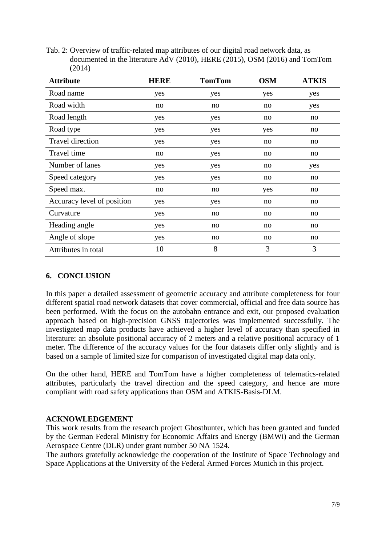Tab. 2: Overview of traffic-related map attributes of our digital road network data, as documented in the literature AdV (2010), HERE (2015), OSM (2016) and TomTom (2014)

| <b>Attribute</b>           | <b>HERE</b> | <b>TomTom</b> | <b>OSM</b> | <b>ATKIS</b> |
|----------------------------|-------------|---------------|------------|--------------|
| Road name                  | yes         | yes           | yes        | yes          |
| Road width                 | no          | no            | no         | yes          |
| Road length                | yes         | yes           | no         | no           |
| Road type                  | yes         | yes           | yes        | no           |
| <b>Travel direction</b>    | yes         | yes           | no         | no           |
| Travel time                | no          | yes           | no         | no           |
| Number of lanes            | yes         | yes           | no         | yes          |
| Speed category             | yes         | yes           | no         | no           |
| Speed max.                 | no          | no            | yes        | no           |
| Accuracy level of position | yes         | yes           | no         | no           |
| Curvature                  | yes         | no            | no         | no           |
| Heading angle              | yes         | no            | no         | no           |
| Angle of slope             | yes         | no            | no         | no           |
| Attributes in total        | 10          | 8             | 3          | 3            |

### **6. CONCLUSION**

In this paper a detailed assessment of geometric accuracy and attribute completeness for four different spatial road network datasets that cover commercial, official and free data source has been performed. With the focus on the autobahn entrance and exit, our proposed evaluation approach based on high-precision GNSS trajectories was implemented successfully. The investigated map data products have achieved a higher level of accuracy than specified in literature: an absolute positional accuracy of 2 meters and a relative positional accuracy of 1 meter. The difference of the accuracy values for the four datasets differ only slightly and is based on a sample of limited size for comparison of investigated digital map data only.

On the other hand, HERE and TomTom have a higher completeness of telematics-related attributes, particularly the travel direction and the speed category, and hence are more compliant with road safety applications than OSM and ATKIS-Basis-DLM.

### **ACKNOWLEDGEMENT**

This work results from the research project Ghosthunter, which has been granted and funded by the German Federal Ministry for Economic Affairs and Energy (BMWi) and the German Aerospace Centre (DLR) under grant number 50 NA 1524.

The authors gratefully acknowledge the cooperation of the Institute of Space Technology and Space Applications at the University of the Federal Armed Forces Munich in this project.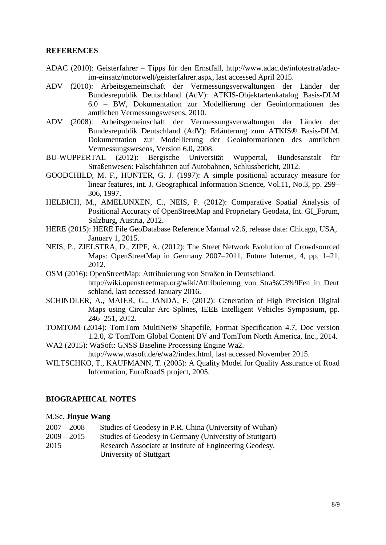#### **REFERENCES**

- ADAC (2010): Geisterfahrer Tipps für den Ernstfall, http://www.adac.de/infotestrat/adacim-einsatz/motorwelt/geisterfahrer.aspx, last accessed April 2015.
- ADV (2010): Arbeitsgemeinschaft der Vermessungsverwaltungen der Länder der Bundesrepublik Deutschland (AdV): ATKIS-Objektartenkatalog Basis-DLM 6.0 – BW, Dokumentation zur Modellierung der Geoinformationen des amtlichen Vermessungswesens, 2010.
- ADV (2008): Arbeitsgemeinschaft der Vermessungsverwaltungen der Länder der Bundesrepublik Deutschland (AdV): Erläuterung zum ATKIS® Basis-DLM. Dokumentation zur Modellierung der Geoinformationen des amtlichen Vermessungswesens, Version 6.0, 2008.
- BU-WUPPERTAL (2012): Bergische Universität Wuppertal, Bundesanstalt für Straßenwesen: Falschfahrten auf Autobahnen, Schlussbericht, 2012.
- GOODCHILD, M. F., HUNTER, G. J. (1997): A simple positional accuracy measure for linear features, int. J. Geographical Information Science, Vol.11, No.3, pp. 299– 306, 1997.
- HELBICH, M., AMELUNXEN, C., NEIS, P. (2012): Comparative Spatial Analysis of Positional Accuracy of OpenStreetMap and Proprietary Geodata, Int. GI\_Forum, Salzburg, Austria, 2012.
- HERE (2015): HERE File GeoDatabase Reference Manual v2.6, release date: Chicago, USA, January 1, 2015.
- NEIS, P., ZIELSTRA, D., ZIPF, A. (2012): The Street Network Evolution of Crowdsourced Maps: OpenStreetMap in Germany 2007–2011, Future Internet, 4, pp. 1–21, 2012.
- OSM (2016): OpenStreetMap: Attribuierung von Straßen in Deutschland. http://wiki.openstreetmap.org/wiki/Attribuierung\_von\_Stra%C3%9Fen\_in\_Deut schland, last accessed January 2016.
- SCHINDLER, A., MAIER, G., JANDA, F. (2012): Generation of High Precision Digital Maps using Circular Arc Splines, IEEE Intelligent Vehicles Symposium, pp. 246–251, 2012.
- TOMTOM (2014): TomTom MultiNet® Shapefile, Format Specification 4.7, Doc version 1.2.0, © TomTom Global Content BV and TomTom North America, Inc., 2014.
- WA2 (2015): WaSoft: GNSS Baseline Processing Engine Wa2. http://www.wasoft.de/e/wa2/index.html, last accessed November 2015.
- WILTSCHKO, T., KAUFMANN, T. (2005): A Quality Model for Quality Assurance of Road Information, EuroRoadS project, 2005.

#### **BIOGRAPHICAL NOTES**

#### M.Sc. **Jinyue Wang**

- 2007 2008 Studies of Geodesy in P.R. China (University of Wuhan)
- 2009 2015 Studies of Geodesy in Germany (University of Stuttgart) 2015 Research Associate at Institute of Engineering Geodesy,

University of Stuttgart